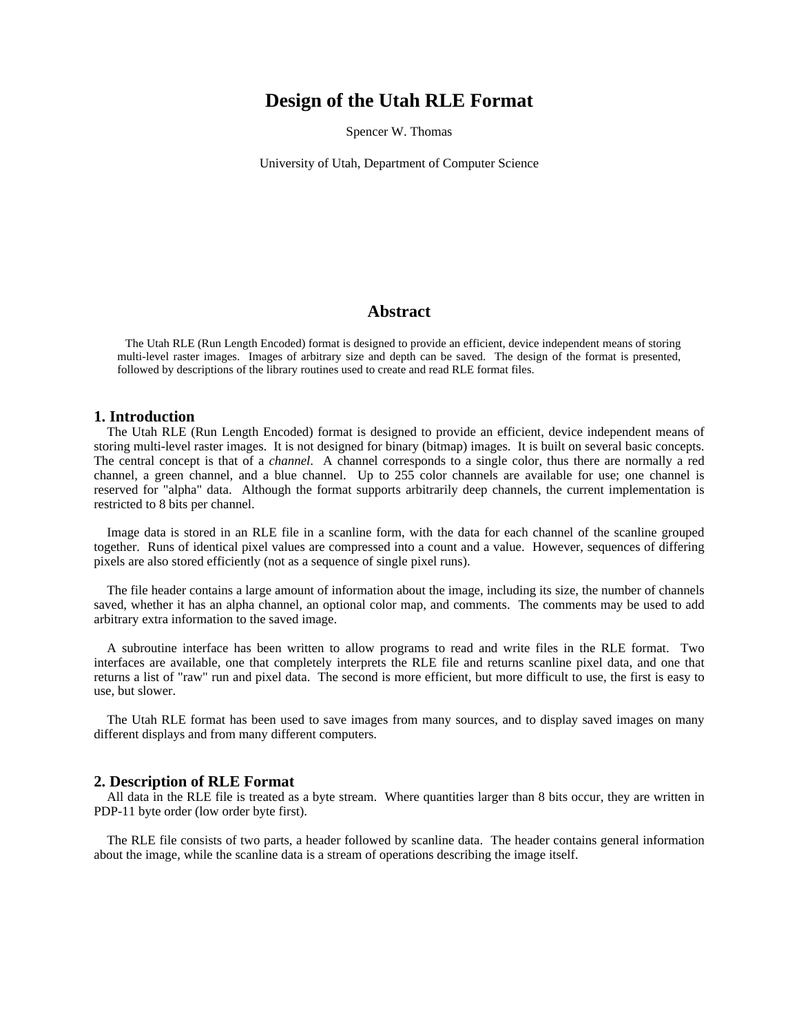## **Design of the Utah RLE Format**

Spencer W. Thomas

University of Utah, Department of Computer Science

## **Abstract**

The Utah RLE (Run Length Encoded) format is designed to provide an efficient, device independent means of storing multi-level raster images. Images of arbitrary size and depth can be saved. The design of the format is presented, followed by descriptions of the library routines used to create and read RLE format files.

#### **1. Introduction**

The Utah RLE (Run Length Encoded) format is designed to provide an efficient, device independent means of storing multi-level raster images. It is not designed for binary (bitmap) images. It is built on several basic concepts. The central concept is that of a *channel*. A channel corresponds to a single color, thus there are normally a red channel, a green channel, and a blue channel. Up to 255 color channels are available for use; one channel is reserved for "alpha" data. Although the format supports arbitrarily deep channels, the current implementation is restricted to 8 bits per channel.

Image data is stored in an RLE file in a scanline form, with the data for each channel of the scanline grouped together. Runs of identical pixel values are compressed into a count and a value. However, sequences of differing pixels are also stored efficiently (not as a sequence of single pixel runs).

The file header contains a large amount of information about the image, including its size, the number of channels saved, whether it has an alpha channel, an optional color map, and comments. The comments may be used to add arbitrary extra information to the saved image.

A subroutine interface has been written to allow programs to read and write files in the RLE format. Two interfaces are available, one that completely interprets the RLE file and returns scanline pixel data, and one that returns a list of "raw" run and pixel data. The second is more efficient, but more difficult to use, the first is easy to use, but slower.

The Utah RLE format has been used to save images from many sources, and to display saved images on many different displays and from many different computers.

#### **2. Description of RLE Format**

All data in the RLE file is treated as a byte stream. Where quantities larger than 8 bits occur, they are written in PDP-11 byte order (low order byte first).

The RLE file consists of two parts, a header followed by scanline data. The header contains general information about the image, while the scanline data is a stream of operations describing the image itself.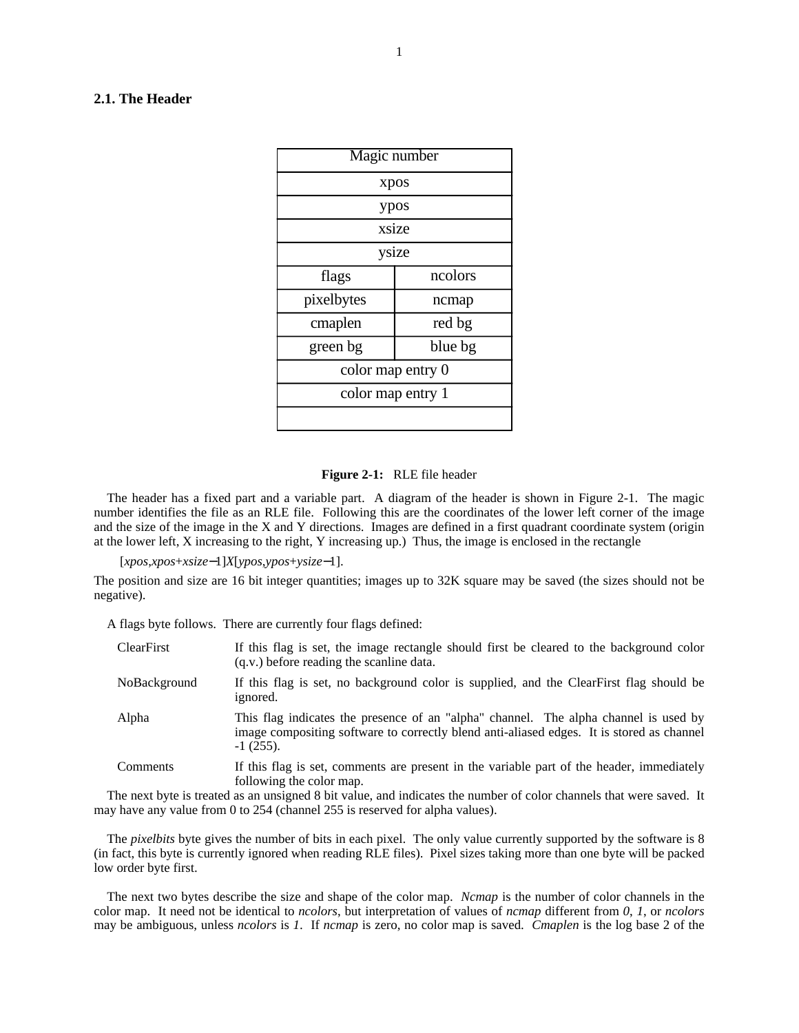#### **2.1. The Header**

| Magic number        |         |  |
|---------------------|---------|--|
| xpos                |         |  |
| ypos                |         |  |
| xsize               |         |  |
| ysize               |         |  |
| flags               | ncolors |  |
| pixelbytes          | ncmap   |  |
| cmaplen             | red bg  |  |
| green bg<br>blue bg |         |  |
| color map entry 0   |         |  |
| color map entry 1   |         |  |
|                     |         |  |

#### **Figure 2-1:** RLE file header

The header has a fixed part and a variable part. A diagram of the header is shown in Figure 2-1. The magic number identifies the file as an RLE file. Following this are the coordinates of the lower left corner of the image and the size of the image in the X and Y directions. Images are defined in a first quadrant coordinate system (origin at the lower left, X increasing to the right, Y increasing up.) Thus, the image is enclosed in the rectangle

[*xpos*,*xpos*+*xsize*−1]*X*[*ypos*,*ypos*+*ysize*−1].

The position and size are 16 bit integer quantities; images up to 32K square may be saved (the sizes should not be negative).

A flags byte follows. There are currently four flags defined:

| <b>ClearFirst</b> | If this flag is set, the image rectangle should first be cleared to the background color<br>(q.v.) before reading the scanline data.                                                             |
|-------------------|--------------------------------------------------------------------------------------------------------------------------------------------------------------------------------------------------|
| NoBackground      | If this flag is set, no background color is supplied, and the ClearFirst flag should be<br>ignored.                                                                                              |
| Alpha             | This flag indicates the presence of an "alpha" channel. The alpha channel is used by<br>image compositing software to correctly blend anti-aliased edges. It is stored as channel<br>$-1(255)$ . |
| Comments          | If this flag is set, comments are present in the variable part of the header, immediately<br>following the color map.                                                                            |

The next byte is treated as an unsigned 8 bit value, and indicates the number of color channels that were saved. It may have any value from 0 to 254 (channel 255 is reserved for alpha values).

The *pixelbits* byte gives the number of bits in each pixel. The only value currently supported by the software is 8 (in fact, this byte is currently ignored when reading RLE files). Pixel sizes taking more than one byte will be packed low order byte first.

The next two bytes describe the size and shape of the color map. *Ncmap* is the number of color channels in the color map. It need not be identical to *ncolors*, but interpretation of values of *ncmap* different from *0*, *1*, or *ncolors* may be ambiguous, unless *ncolors* is *1*. If *ncmap* is zero, no color map is saved. *Cmaplen* is the log base 2 of the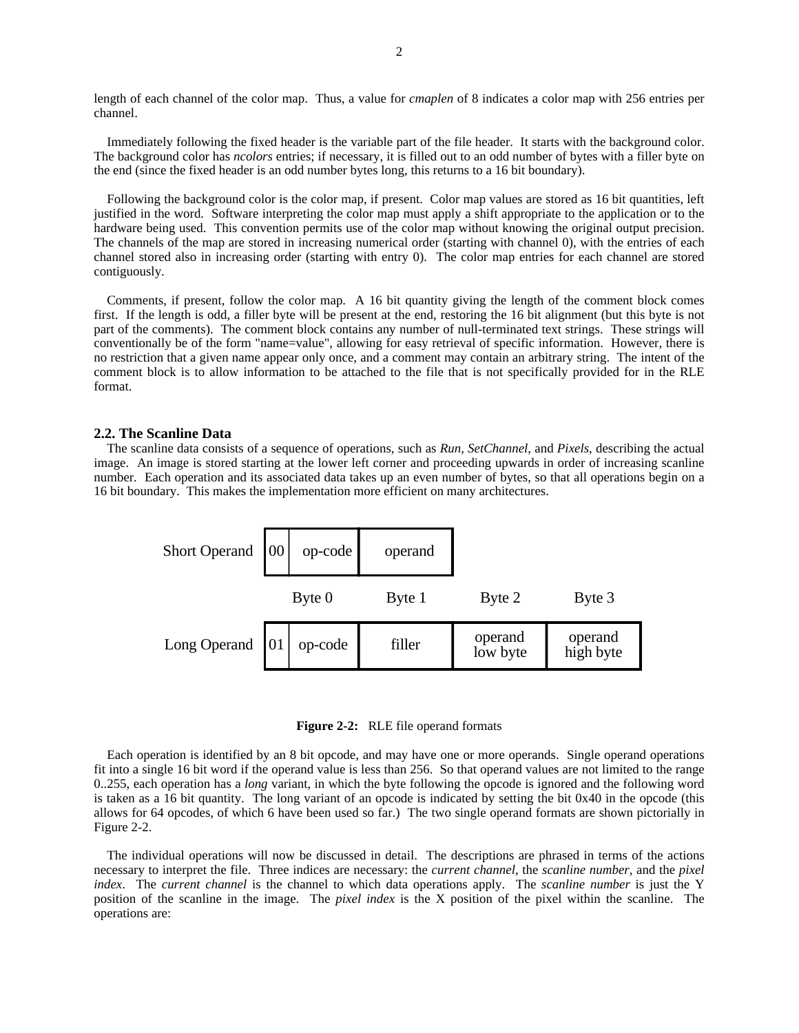length of each channel of the color map. Thus, a value for *cmaplen* of 8 indicates a color map with 256 entries per channel.

Immediately following the fixed header is the variable part of the file header. It starts with the background color. The background color has *ncolors* entries; if necessary, it is filled out to an odd number of bytes with a filler byte on the end (since the fixed header is an odd number bytes long, this returns to a 16 bit boundary).

Following the background color is the color map, if present. Color map values are stored as 16 bit quantities, left justified in the word. Software interpreting the color map must apply a shift appropriate to the application or to the hardware being used. This convention permits use of the color map without knowing the original output precision. The channels of the map are stored in increasing numerical order (starting with channel 0), with the entries of each channel stored also in increasing order (starting with entry 0). The color map entries for each channel are stored contiguously.

Comments, if present, follow the color map. A 16 bit quantity giving the length of the comment block comes first. If the length is odd, a filler byte will be present at the end, restoring the 16 bit alignment (but this byte is not part of the comments). The comment block contains any number of null-terminated text strings. These strings will conventionally be of the form "name=value", allowing for easy retrieval of specific information. However, there is no restriction that a given name appear only once, and a comment may contain an arbitrary string. The intent of the comment block is to allow information to be attached to the file that is not specifically provided for in the RLE format.

#### **2.2. The Scanline Data**

The scanline data consists of a sequence of operations, such as *Run*, *SetChannel*, and *Pixels*, describing the actual image. An image is stored starting at the lower left corner and proceeding upwards in order of increasing scanline number. Each operation and its associated data takes up an even number of bytes, so that all operations begin on a 16 bit boundary. This makes the implementation more efficient on many architectures.



**Figure 2-2:** RLE file operand formats

Each operation is identified by an 8 bit opcode, and may have one or more operands. Single operand operations fit into a single 16 bit word if the operand value is less than 256. So that operand values are not limited to the range 0..255, each operation has a *long* variant, in which the byte following the opcode is ignored and the following word is taken as a 16 bit quantity. The long variant of an opcode is indicated by setting the bit 0x40 in the opcode (this allows for 64 opcodes, of which 6 have been used so far.) The two single operand formats are shown pictorially in Figure 2-2.

The individual operations will now be discussed in detail. The descriptions are phrased in terms of the actions necessary to interpret the file. Three indices are necessary: the *current channel*, the *scanline number*, and the *pixel index*. The *current channel* is the channel to which data operations apply. The *scanline number* is just the Y position of the scanline in the image. The *pixel index* is the X position of the pixel within the scanline. The operations are: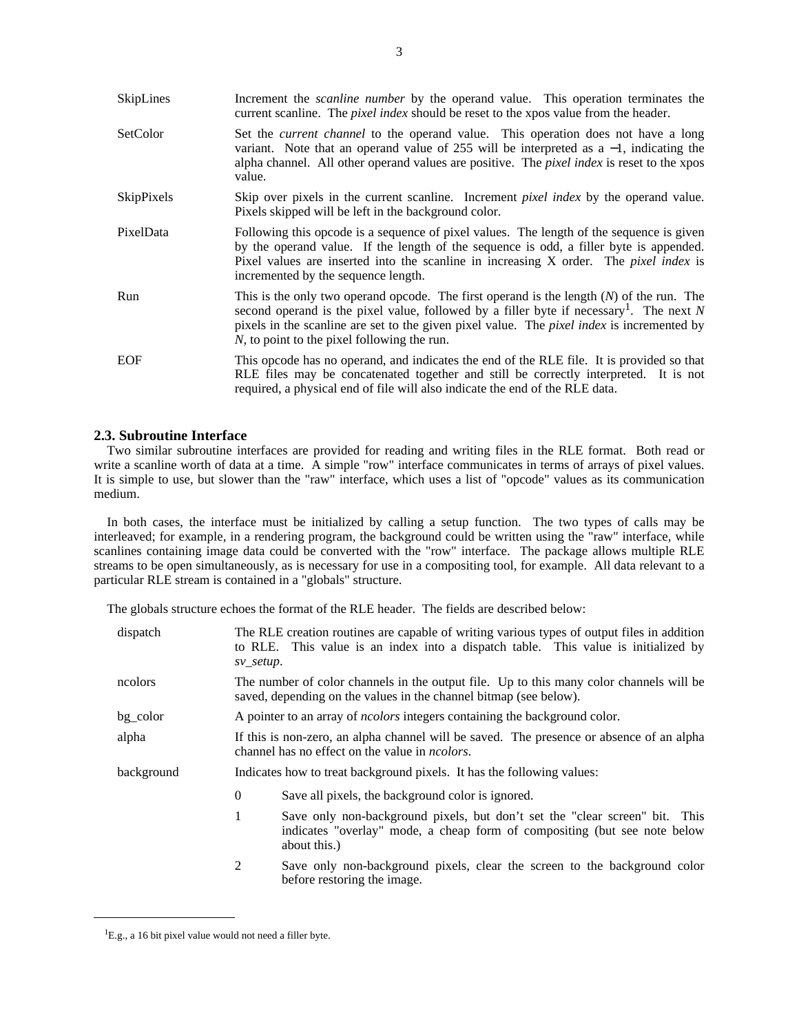| SkipLines         | Increment the <i>scanline number</i> by the operand value. This operation terminates the<br>current scanline. The <i>pixel index</i> should be reset to the xpos value from the header.                                                                                                                                                               |  |
|-------------------|-------------------------------------------------------------------------------------------------------------------------------------------------------------------------------------------------------------------------------------------------------------------------------------------------------------------------------------------------------|--|
| SetColor          | Set the <i>current channel</i> to the operand value. This operation does not have a long<br>variant. Note that an operand value of 255 will be interpreted as $a - 1$ , indicating the<br>alpha channel. All other operand values are positive. The <i>pixel index</i> is reset to the xpos<br>value.                                                 |  |
| <b>SkipPixels</b> | Skip over pixels in the current scanline. Increment <i>pixel index</i> by the operand value.<br>Pixels skipped will be left in the background color.                                                                                                                                                                                                  |  |
| PixelData         | Following this opcode is a sequence of pixel values. The length of the sequence is given<br>by the operand value. If the length of the sequence is odd, a filler byte is appended.<br>Pixel values are inserted into the scanline in increasing X order. The <i>pixel index</i> is<br>incremented by the sequence length.                             |  |
| Run               | This is the only two operand opcode. The first operand is the length $(N)$ of the run. The<br>second operand is the pixel value, followed by a filler byte if necessary <sup>1</sup> . The next N<br>pixels in the scanline are set to the given pixel value. The <i>pixel index</i> is incremented by<br>N, to point to the pixel following the run. |  |
| <b>EOF</b>        | This opcode has no operand, and indicates the end of the RLE file. It is provided so that<br>RLE files may be concatenated together and still be correctly interpreted. It is not<br>required, a physical end of file will also indicate the end of the RLE data.                                                                                     |  |

#### **2.3. Subroutine Interface**

Two similar subroutine interfaces are provided for reading and writing files in the RLE format. Both read or write a scanline worth of data at a time. A simple "row" interface communicates in terms of arrays of pixel values. It is simple to use, but slower than the "raw" interface, which uses a list of "opcode" values as its communication medium.

In both cases, the interface must be initialized by calling a setup function. The two types of calls may be interleaved; for example, in a rendering program, the background could be written using the "raw" interface, while scanlines containing image data could be converted with the "row" interface. The package allows multiple RLE streams to be open simultaneously, as is necessary for use in a compositing tool, for example. All data relevant to a particular RLE stream is contained in a "globals" structure.

The globals structure echoes the format of the RLE header. The fields are described below:

| dispatch   | The RLE creation routines are capable of writing various types of output files in addition<br>to RLE. This value is an index into a dispatch table. This value is initialized by<br>sv_setup. |  |  |
|------------|-----------------------------------------------------------------------------------------------------------------------------------------------------------------------------------------------|--|--|
| ncolors    | The number of color channels in the output file. Up to this many color channels will be<br>saved, depending on the values in the channel bitmap (see below).                                  |  |  |
| bg_color   | A pointer to an array of <i>ncolors</i> integers containing the background color.                                                                                                             |  |  |
| alpha      | If this is non-zero, an alpha channel will be saved. The presence or absence of an alpha<br>channel has no effect on the value in <i>ncolors</i> .                                            |  |  |
| background | Indicates how to treat background pixels. It has the following values:                                                                                                                        |  |  |
|            | 0<br>Save all pixels, the background color is ignored.                                                                                                                                        |  |  |
|            | 1<br>Save only non-background pixels, but don't set the "clear screen" bit. This<br>indicates "overlay" mode, a cheap form of compositing (but see note below                                 |  |  |
|            | about this.)                                                                                                                                                                                  |  |  |

<sup>&</sup>lt;sup>1</sup>E.g., a 16 bit pixel value would not need a filler byte.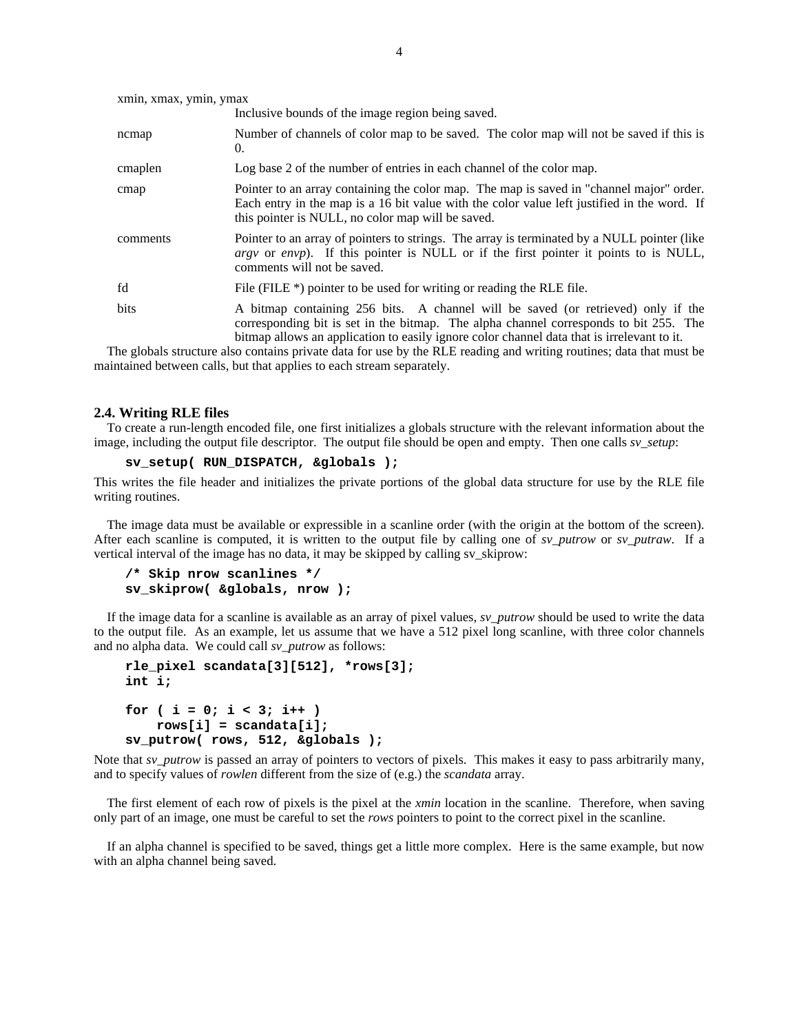| xmin, xmax, ymin, ymax |                                                                                                                                                                                                                                                                         |  |
|------------------------|-------------------------------------------------------------------------------------------------------------------------------------------------------------------------------------------------------------------------------------------------------------------------|--|
|                        | Inclusive bounds of the image region being saved.                                                                                                                                                                                                                       |  |
| ncmap                  | Number of channels of color map to be saved. The color map will not be saved if this is<br>0.                                                                                                                                                                           |  |
| cmaplen                | Log base 2 of the number of entries in each channel of the color map.                                                                                                                                                                                                   |  |
| cmap                   | Pointer to an array containing the color map. The map is saved in "channel major" order.<br>Each entry in the map is a 16 bit value with the color value left justified in the word. If<br>this pointer is NULL, no color map will be saved.                            |  |
| comments               | Pointer to an array of pointers to strings. The array is terminated by a NULL pointer (like<br><i>argy</i> or <i>envp</i> ). If this pointer is NULL or if the first pointer it points to is NULL,<br>comments will not be saved.                                       |  |
| fd                     | File (FILE $*$ ) pointer to be used for writing or reading the RLE file.                                                                                                                                                                                                |  |
| bits                   | A bitmap containing 256 bits. A channel will be saved (or retrieved) only if the<br>corresponding bit is set in the bitmap. The alpha channel corresponds to bit 255. The<br>bitmap allows an application to easily ignore color channel data that is irrelevant to it. |  |

The globals structure also contains private data for use by the RLE reading and writing routines; data that must be maintained between calls, but that applies to each stream separately.

#### **2.4. Writing RLE files**

To create a run-length encoded file, one first initializes a globals structure with the relevant information about the image, including the output file descriptor. The output file should be open and empty. Then one calls *sv\_setup*:

```
sv_setup( RUN_DISPATCH, &globals );
```
This writes the file header and initializes the private portions of the global data structure for use by the RLE file writing routines.

The image data must be available or expressible in a scanline order (with the origin at the bottom of the screen). After each scanline is computed, it is written to the output file by calling one of *sv\_putrow* or *sv\_putraw*. If a vertical interval of the image has no data, it may be skipped by calling sv\_skiprow:

```
/* Skip nrow scanlines */
sv_skiprow( &globals, nrow );
```
If the image data for a scanline is available as an array of pixel values, *sv\_putrow* should be used to write the data to the output file. As an example, let us assume that we have a 512 pixel long scanline, with three color channels and no alpha data. We could call *sv\_putrow* as follows:

```
rle_pixel scandata[3][512], *rows[3];
int i;
for ( i = 0; i < 3; i++ )
   rows[i] = scandata[i];
sv_putrow( rows, 512, &globals );
```
Note that *sv\_putrow* is passed an array of pointers to vectors of pixels. This makes it easy to pass arbitrarily many, and to specify values of *rowlen* different from the size of (e.g.) the *scandata* array.

The first element of each row of pixels is the pixel at the *xmin* location in the scanline. Therefore, when saving only part of an image, one must be careful to set the *rows* pointers to point to the correct pixel in the scanline.

If an alpha channel is specified to be saved, things get a little more complex. Here is the same example, but now with an alpha channel being saved.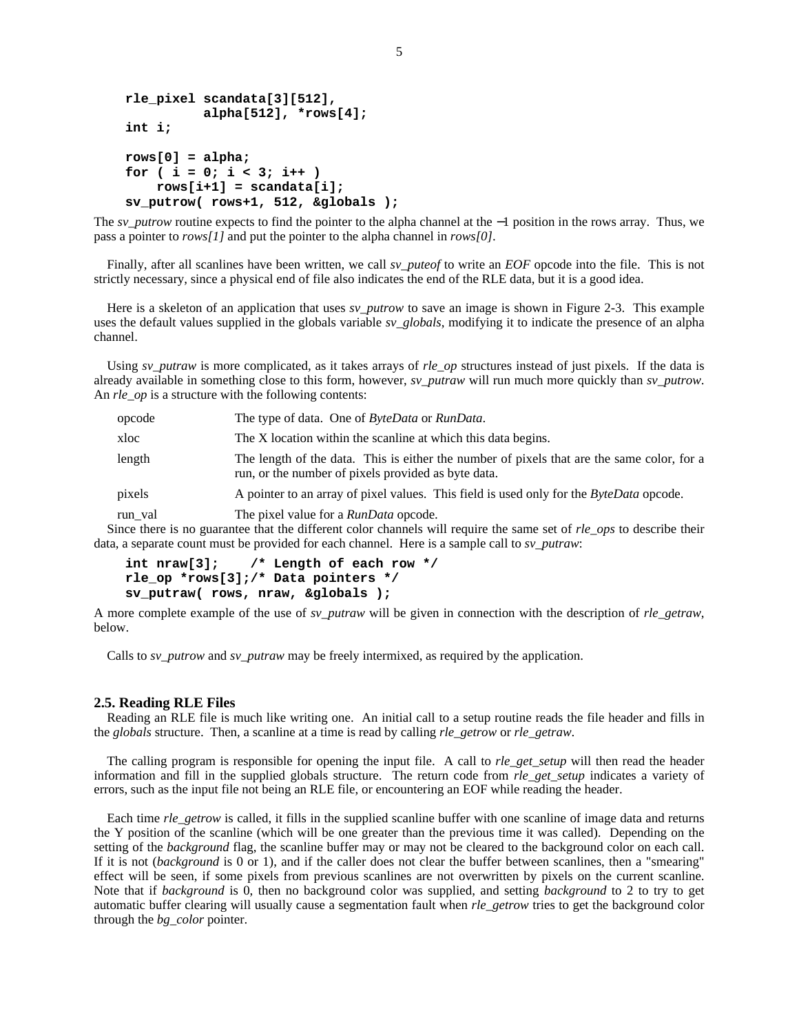```
rle_pixel scandata[3][512],
          alpha[512], *rows[4];
int i;
rows[0] = alpha;
for ( i = 0; i < 3; i++ )
    rows[i+1] = scandata[i];
sv_putrow( rows+1, 512, &globals );
```
The *sv\_putrow* routine expects to find the pointer to the alpha channel at the −1 position in the rows array. Thus, we pass a pointer to *rows[1]* and put the pointer to the alpha channel in *rows[0]*.

Finally, after all scanlines have been written, we call *sv\_puteof* to write an *EOF* opcode into the file. This is not strictly necessary, since a physical end of file also indicates the end of the RLE data, but it is a good idea.

Here is a skeleton of an application that uses *sv\_putrow* to save an image is shown in Figure 2-3. This example uses the default values supplied in the globals variable *sv\_globals*, modifying it to indicate the presence of an alpha channel.

Using *sv\_putraw* is more complicated, as it takes arrays of *rle\_op* structures instead of just pixels. If the data is already available in something close to this form, however, *sv\_putraw* will run much more quickly than *sv\_putrow*. An *rle\_op* is a structure with the following contents:

| opcode  | The type of data. One of <i>ByteData</i> or <i>RunData</i> .                                                                                      |  |
|---------|---------------------------------------------------------------------------------------------------------------------------------------------------|--|
| xloc    | The X location within the scanline at which this data begins.                                                                                     |  |
| length  | The length of the data. This is either the number of pixels that are the same color, for a<br>run, or the number of pixels provided as byte data. |  |
| pixels  | A pointer to an array of pixel values. This field is used only for the <i>ByteData</i> opcode.                                                    |  |
| run_val | The pixel value for a <i>RunData</i> opcode.                                                                                                      |  |

Since there is no guarantee that the different color channels will require the same set of *rle\_ops* to describe their data, a separate count must be provided for each channel. Here is a sample call to *sv\_putraw*:

```
int nraw[3]; /* Length of each row */
rle_op *rows[3];/* Data pointers */
sv_putraw( rows, nraw, &globals );
```
A more complete example of the use of *sv\_putraw* will be given in connection with the description of *rle\_getraw*, below.

Calls to *sv\_putrow* and *sv\_putraw* may be freely intermixed, as required by the application.

#### **2.5. Reading RLE Files**

Reading an RLE file is much like writing one. An initial call to a setup routine reads the file header and fills in the *globals* structure. Then, a scanline at a time is read by calling *rle\_getrow* or *rle\_getraw*.

The calling program is responsible for opening the input file. A call to *rle get setup* will then read the header information and fill in the supplied globals structure. The return code from *rle\_get\_setup* indicates a variety of errors, such as the input file not being an RLE file, or encountering an EOF while reading the header.

Each time *rle\_getrow* is called, it fills in the supplied scanline buffer with one scanline of image data and returns the Y position of the scanline (which will be one greater than the previous time it was called). Depending on the setting of the *background* flag, the scanline buffer may or may not be cleared to the background color on each call. If it is not (*background* is 0 or 1), and if the caller does not clear the buffer between scanlines, then a "smearing" effect will be seen, if some pixels from previous scanlines are not overwritten by pixels on the current scanline. Note that if *background* is 0, then no background color was supplied, and setting *background* to 2 to try to get automatic buffer clearing will usually cause a segmentation fault when *rle\_getrow* tries to get the background color through the *bg\_color* pointer.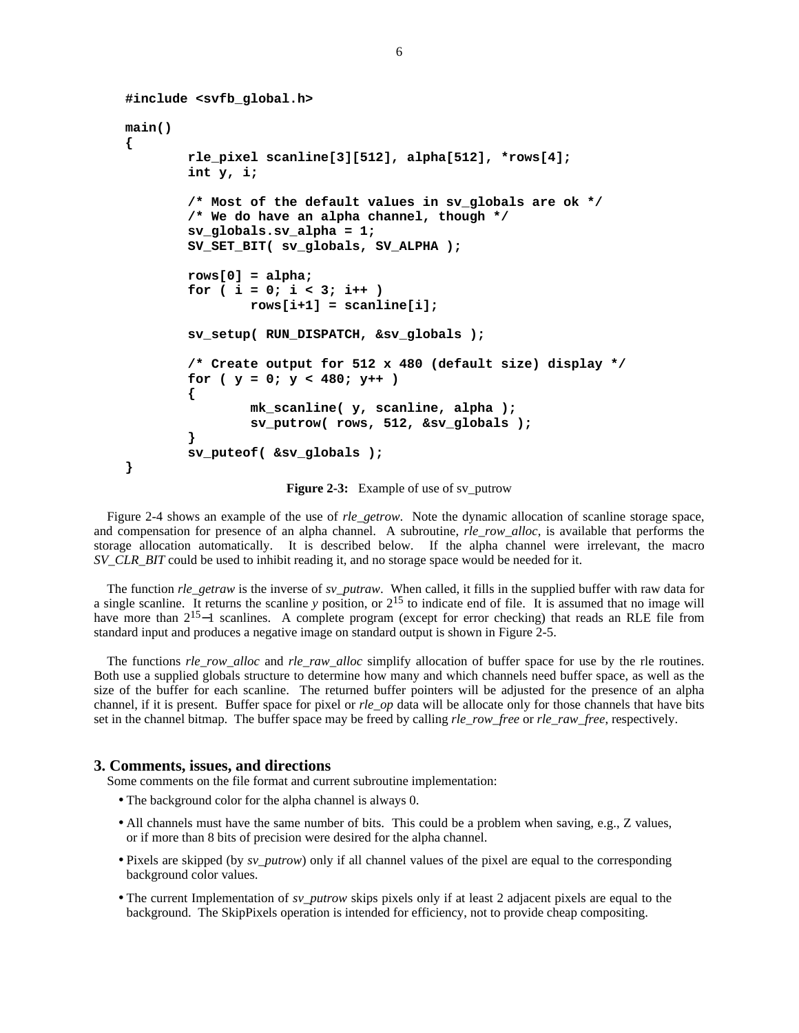```
#include <svfb_global.h>
main()
{
        rle_pixel scanline[3][512], alpha[512], *rows[4];
        int y, i;
        /* Most of the default values in sv_globals are ok */
        /* We do have an alpha channel, though */
        sv_globals.sv_alpha = 1;
        SV_SET_BIT( sv_globals, SV_ALPHA );
        rows[0] = alpha;
        for ( i = 0; i < 3; i++ )
                rows[i+1] = scanline[i];
        sv_setup( RUN_DISPATCH, &sv_globals );
        /* Create output for 512 x 480 (default size) display */
        for ( y = 0; y < 480; y++ )
        {
                mk_scanline( y, scanline, alpha );
                sv_putrow( rows, 512, &sv_globals );
        }
        sv_puteof( &sv_globals );
}
```
**Figure 2-3:** Example of use of sv\_putrow

Figure 2-4 shows an example of the use of *rle\_getrow*. Note the dynamic allocation of scanline storage space, and compensation for presence of an alpha channel. A subroutine, *rle\_row\_alloc*, is available that performs the storage allocation automatically. It is described below. If the alpha channel were irrelevant, the macro *SV\_CLR\_BIT* could be used to inhibit reading it, and no storage space would be needed for it.

The function *rle\_getraw* is the inverse of *sv\_putraw*. When called, it fills in the supplied buffer with raw data for a single scanline. It returns the scanline  $y$  position, or  $2^{15}$  to indicate end of file. It is assumed that no image will have more than 2<sup>15</sup>–1 scanlines. A complete program (except for error checking) that reads an RLE file from standard input and produces a negative image on standard output is shown in Figure 2-5.

The functions *rle\_row\_alloc* and *rle\_raw\_alloc* simplify allocation of buffer space for use by the rle routines. Both use a supplied globals structure to determine how many and which channels need buffer space, as well as the size of the buffer for each scanline. The returned buffer pointers will be adjusted for the presence of an alpha channel, if it is present. Buffer space for pixel or *rle\_op* data will be allocate only for those channels that have bits set in the channel bitmap. The buffer space may be freed by calling *rle\_row\_free* or *rle\_raw\_free*, respectively.

#### **3. Comments, issues, and directions**

Some comments on the file format and current subroutine implementation:

- The background color for the alpha channel is always 0.
- All channels must have the same number of bits. This could be a problem when saving, e.g., Z values, or if more than 8 bits of precision were desired for the alpha channel.
- Pixels are skipped (by *sv\_putrow*) only if all channel values of the pixel are equal to the corresponding background color values.
- The current Implementation of *sv\_putrow* skips pixels only if at least 2 adjacent pixels are equal to the background. The SkipPixels operation is intended for efficiency, not to provide cheap compositing.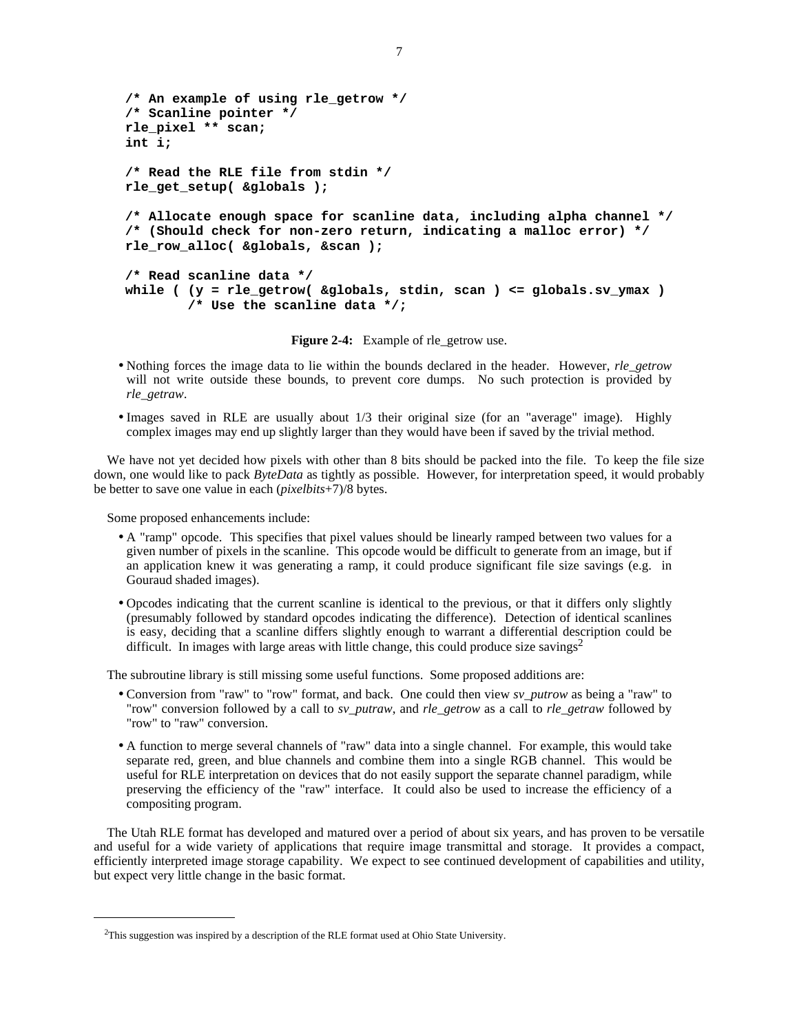```
/* An example of using rle_getrow */
/* Scanline pointer */
rle_pixel ** scan;
int i;
/* Read the RLE file from stdin */
rle_get_setup( &globals );
/* Allocate enough space for scanline data, including alpha channel */
/* (Should check for non-zero return, indicating a malloc error) */
rle_row_alloc( &globals, &scan );
/* Read scanline data */
while ( (y = rle_getrow( &globals, stdin, scan ) <= globals.sv_ymax )
        /* Use the scanline data */;
```
**Figure 2-4:** Example of rle\_getrow use.

- Nothing forces the image data to lie within the bounds declared in the header. However, *rle\_getrow* will not write outside these bounds, to prevent core dumps. No such protection is provided by *rle\_getraw*.
- Images saved in RLE are usually about 1/3 their original size (for an "average" image). Highly complex images may end up slightly larger than they would have been if saved by the trivial method.

We have not yet decided how pixels with other than 8 bits should be packed into the file. To keep the file size down, one would like to pack *ByteData* as tightly as possible. However, for interpretation speed, it would probably be better to save one value in each (*pixelbits*+7)/8 bytes.

Some proposed enhancements include:

- A "ramp" opcode. This specifies that pixel values should be linearly ramped between two values for a given number of pixels in the scanline. This opcode would be difficult to generate from an image, but if an application knew it was generating a ramp, it could produce significant file size savings (e.g. in Gouraud shaded images).
- Opcodes indicating that the current scanline is identical to the previous, or that it differs only slightly (presumably followed by standard opcodes indicating the difference). Detection of identical scanlines is easy, deciding that a scanline differs slightly enough to warrant a differential description could be difficult. In images with large areas with little change, this could produce size savings<sup>2</sup>

The subroutine library is still missing some useful functions. Some proposed additions are:

- Conversion from "raw" to "row" format, and back. One could then view *sv\_putrow* as being a "raw" to "row" conversion followed by a call to *sv\_putraw*, and *rle\_getrow* as a call to *rle\_getraw* followed by "row" to "raw" conversion.
- A function to merge several channels of "raw" data into a single channel. For example, this would take separate red, green, and blue channels and combine them into a single RGB channel. This would be useful for RLE interpretation on devices that do not easily support the separate channel paradigm, while preserving the efficiency of the "raw" interface. It could also be used to increase the efficiency of a compositing program.

The Utah RLE format has developed and matured over a period of about six years, and has proven to be versatile and useful for a wide variety of applications that require image transmittal and storage. It provides a compact, efficiently interpreted image storage capability. We expect to see continued development of capabilities and utility, but expect very little change in the basic format.

<sup>&</sup>lt;sup>2</sup>This suggestion was inspired by a description of the RLE format used at Ohio State University.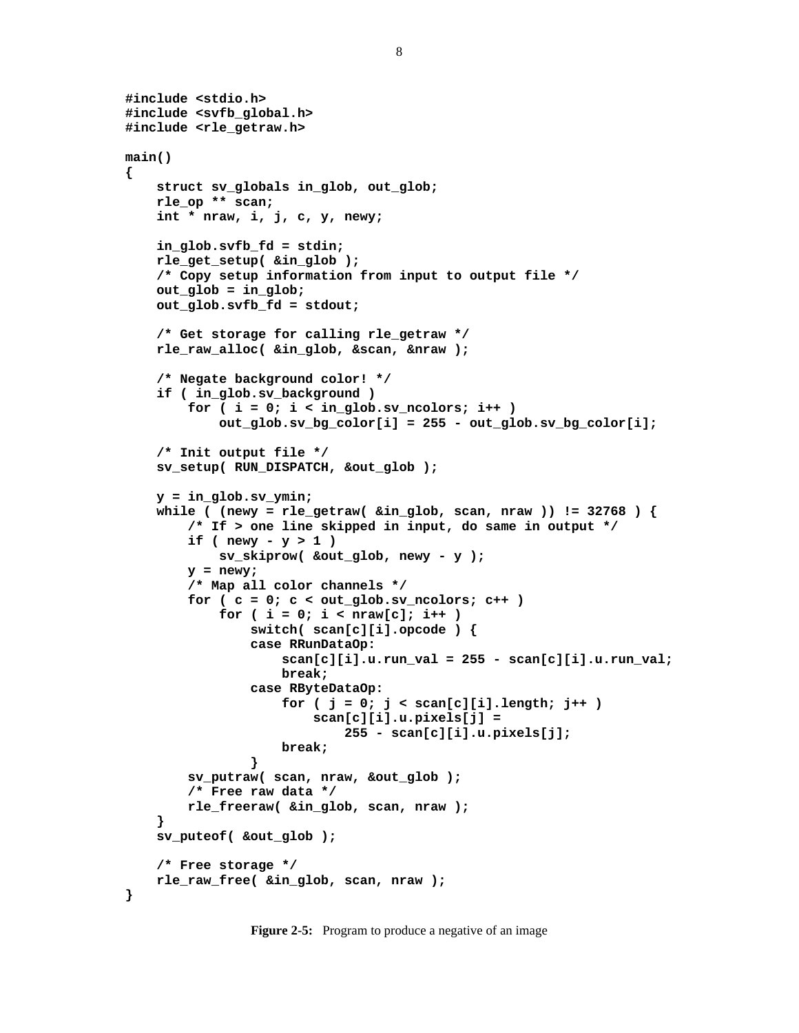```
#include <stdio.h>
#include <svfb_global.h>
#include <rle_getraw.h>
main()
{
    struct sv_globals in_glob, out_glob;
    rle_op ** scan;
    int * nraw, i, j, c, y, newy;
    in_glob.svfb_fd = stdin;
    rle_get_setup( &in_glob );
    /* Copy setup information from input to output file */
    out_glob = in_glob;
    out_glob.svfb_fd = stdout;
    /* Get storage for calling rle_getraw */
    rle_raw_alloc( &in_glob, &scan, &nraw );
    /* Negate background color! */
    if ( in_glob.sv_background )
        for ( i = 0; i < in_glob.sv_ncolors; i++ )
            out_glob.sv_bg_color[i] = 255 - out_glob.sv_bg_color[i];
    /* Init output file */
    sv_setup( RUN_DISPATCH, &out_glob );
    y = in_glob.sv_ymin;
    while ( (newy = rle_getraw( &in_glob, scan, nraw )) != 32768 ) {
        /* If > one line skipped in input, do same in output */
        if ( newy - y > 1 )
            sv_skiprow( &out_glob, newy - y );
        y = newy;
        /* Map all color channels */
        for ( c = 0; c < out_glob.sv_ncolors; c++ )
            for ( i = 0; i < nraw[c]; i++ )
                switch( scan[c][i].opcode ) {
                case RRunDataOp:
                    scan[c][i].u.run_val = 255 - scan[c][i].u.run_val;
                    break;
                case RByteDataOp:
                    for ( j = 0; j < scan[c][i].length; j++ )
                        scan[c][i].u.pixels[j] =
                            255 - scan[c][i].u.pixels[j];
                    break;
                }
        sv_putraw( scan, nraw, &out_glob );
        /* Free raw data */
        rle_freeraw( &in_glob, scan, nraw );
    }
    sv_puteof( &out_glob );
    /* Free storage */
    rle_raw_free( &in_glob, scan, nraw );
}
```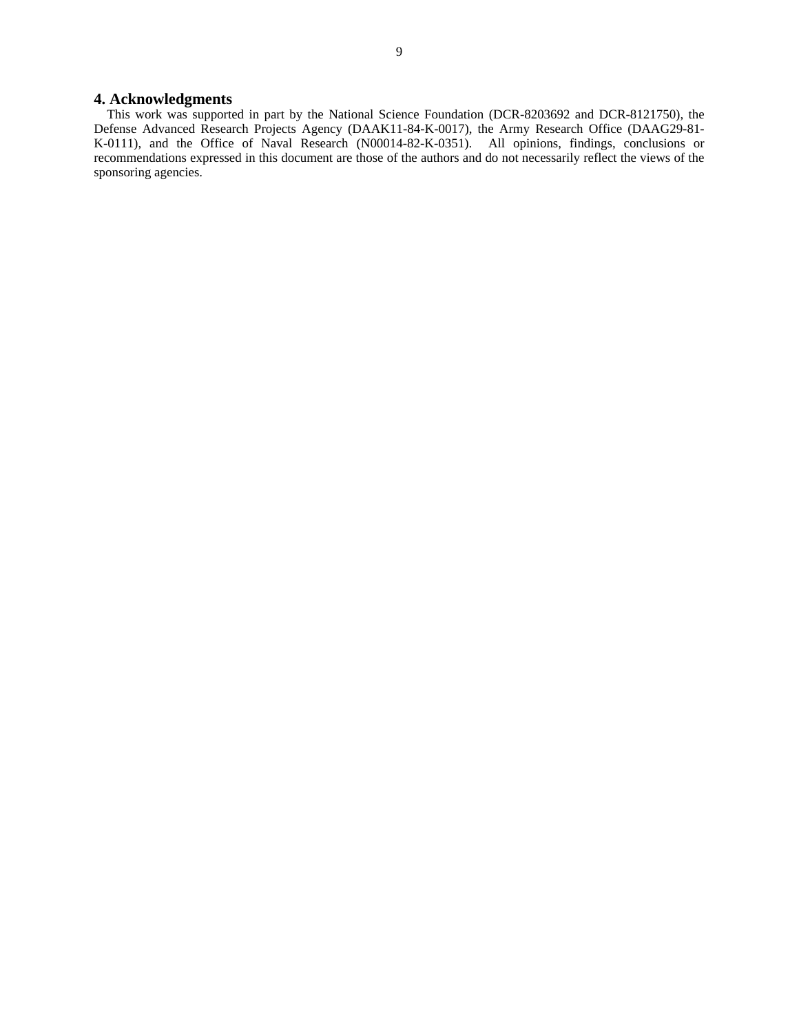### **4. Acknowledgments**

This work was supported in part by the National Science Foundation (DCR-8203692 and DCR-8121750), the Defense Advanced Research Projects Agency (DAAK11-84-K-0017), the Army Research Office (DAAG29-81- K-0111), and the Office of Naval Research (N00014-82-K-0351). All opinions, findings, conclusions or recommendations expressed in this document are those of the authors and do not necessarily reflect the views of the sponsoring agencies.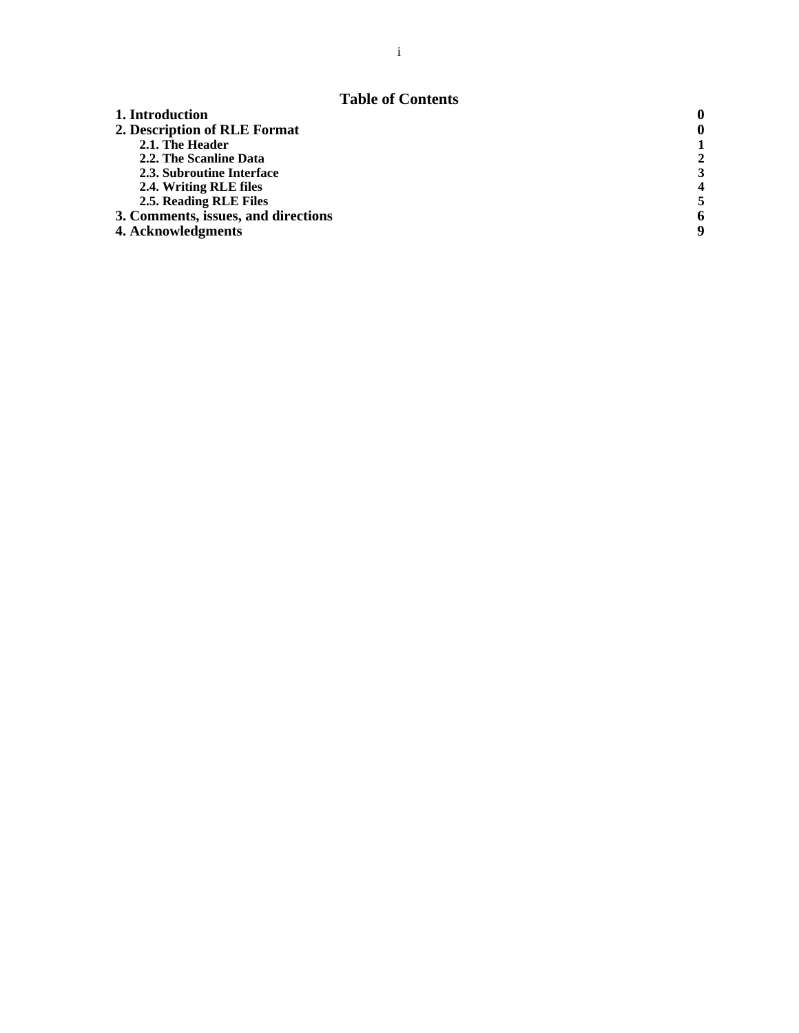## **Table of Contents**

| 1. Introduction                     |   |
|-------------------------------------|---|
| 2. Description of RLE Format        |   |
| 2.1. The Header                     |   |
| 2.2. The Scanline Data              |   |
| 2.3. Subroutine Interface           |   |
| 2.4. Writing RLE files              |   |
| 2.5. Reading RLE Files              |   |
| 3. Comments, issues, and directions | 6 |
| 4. Acknowledgments                  | q |